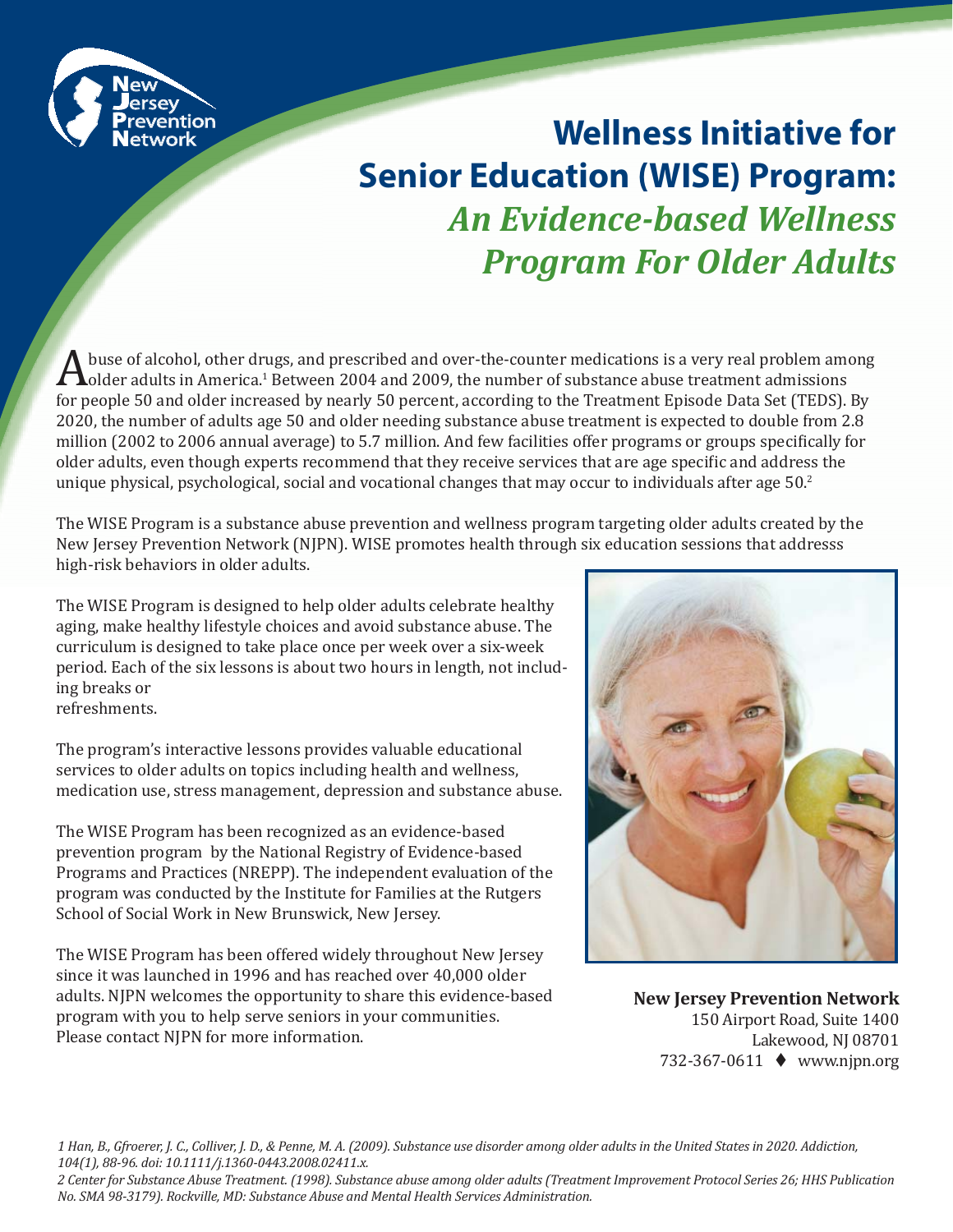

# **Wellness Initiative for Senior Education (WISE) Program:**  *An Evidence-based Wellness Program For Older Adults*

A buse of alcohol, other drugs, and prescribed and over-the-counter medications is a very real problem among older adults in America.<sup>1</sup> Between 2004 and 2009, the number of substance abuse treatment admissions for people 50 and older increased by nearly 50 percent, according to the Treatment Episode Data Set (TEDS). By 2020, the number of adults age 50 and older needing substance abuse treatment is expected to double from 2.8 million (2002 to 2006 annual average) to 5.7 million. And few facilities offer programs or groups specifically for older adults, even though experts recommend that they receive services that are age specific and address the unique physical, psychological, social and vocational changes that may occur to individuals after age 50.<sup>2</sup>

The WISE Program is a substance abuse prevention and wellness program targeting older adults created by the New Jersey Prevention Network (NJPN). WISE promotes health through six education sessions that addresss high-risk behaviors in older adults.

The WISE Program is designed to help older adults celebrate healthy aging, make healthy lifestyle choices and avoid substance abuse. The curriculum is designed to take place once per week over a six-week period. Each of the six lessons is about two hours in length, not including breaks or refreshments.

The program's interactive lessons provides valuable educational services to older adults on topics including health and wellness, medication use, stress management, depression and substance abuse.

The WISE Program has been recognized as an evidence-based prevention program by the National Registry of Evidence-based Programs and Practices (NREPP). The independent evaluation of the program was conducted by the Institute for Families at the Rutgers School of Social Work in New Brunswick, New Jersey.

The WISE Program has been offered widely throughout New Jersey since it was launched in 1996 and has reached over 40,000 older adults. NJPN welcomes the opportunity to share this evidence-based program with you to help serve seniors in your communities. Please contact NJPN for more information.



**New Jersey Prevention Network** 150 Airport Road, Suite 1400 Lakewood, NJ 08701 732-367-0611 www.njpn.org

*1 Han, B., Gfroerer, J. C., Colliver, J. D., & Penne, M. A. (2009). Substance use disorder among older adults in the United States in 2020. Addiction, 104(1), 88-96. doi: 10.1111/j.1360-0443.2008.02411.x.*

*2 Center for Substance Abuse Treatment. (1998). Substance abuse among older adults (Treatment Improvement Protocol Series 26; HHS Publication No. SMA 98-3179). Rockville, MD: Substance Abuse and Mental Health Services Administration.*